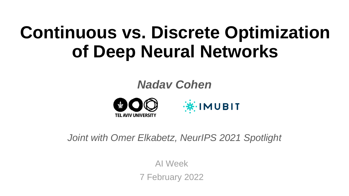## **Continuous vs. Discrete Optimization of Deep Neural Networks**

#### *Nadav Cohen*



#### *Joint with Omer Elkabetz, NeurIPS 2021 Spotlight*

AI Week 7 February 2022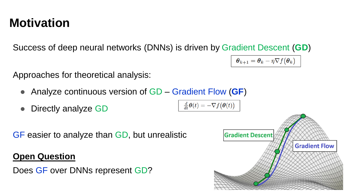## **Motivation**

Success of deep neural networks (DNNs) is driven by Gradient Descent (**GD**)

 $\frac{d}{dt}\theta(t) = -\nabla f(\theta(t))$ 

$$
\boxed{\boldsymbol{\theta}_{k+1} = \boldsymbol{\theta}_k - \eta \nabla f\big(\boldsymbol{\theta}_k\big)}
$$

Approaches for theoretical analysis:

- Analyze continuous version of GD Gradient Flow (**GF**)
- Directly analyze GD

GF easier to analyze than GD, but unrealistic

#### **Open Question**

Does GF over DNNs represent GD?

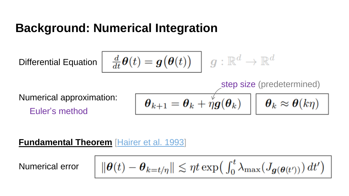#### **Background: Numerical Integration**

Differential Equation

$$
\left\lvert \frac{d}{dt}\boldsymbol{\theta}(t) = \boldsymbol{g}\big(\boldsymbol{\theta}(t)\big)\ \right\rvert \ \ g: \mathbb{R}^d \rightarrow \mathbb{R}^d
$$

Numerical approximation: Euler's method

$$
\boldsymbol{\theta}_{k+1} = \boldsymbol{\theta}_k + \eta \boldsymbol{g}(\boldsymbol{\theta}_k) \quad \boxed{\phantom{\boldsymbol{\theta}_k}
$$

$$
\boldsymbol{\theta}_k \approx \boldsymbol{\theta}(k \eta)
$$

step size (predetermined)

#### **Fundamental Theorem** [[Hairer et al. 1993\]](https://link.springer.com/book/10.1007/978-3-540-78862-1)

Numerical error

$$
\|\boldsymbol{\theta}(t)-\boldsymbol{\theta}_{k=t/\eta}\| \lesssim \eta t \exp\left(\int_0^t \lambda_{\max}(J_{\boldsymbol{g}(\boldsymbol{\theta}(t'))})\,dt'\right)
$$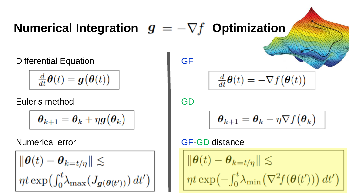## Numerical Integration  $\boldsymbol{g} = -\nabla f$  Optimization

Differential Equation

$$
\tfrac{d}{dt}\boldsymbol{\theta}(t)=\boldsymbol{g}\big(\boldsymbol{\theta}(t)\big)
$$

Euler's method

$$
\boldsymbol{\theta}_{k+1} = \boldsymbol{\theta}_k + \eta \boldsymbol{g}\big(\boldsymbol{\theta}_k\big)
$$

$$
\left\|\boldsymbol{\theta}(t) - \boldsymbol{\theta}_{k=t/\eta}\right\| \lesssim
$$
  

$$
\eta t \exp\left(\int_0^t \lambda_{\max}(J_{\boldsymbol{g}(\boldsymbol{\theta}(t'))}) dt'\right)
$$

GF

$$
\tfrac{d}{dt}\boldsymbol{\theta}(t) = -\nabla f\big(\boldsymbol{\theta}(t)\big)
$$

GD

$$
\boxed{\boldsymbol{\theta}_{k+1} = \boldsymbol{\theta}_k - \eta \nabla f\big(\boldsymbol{\theta}_k\big)}
$$

Numerical error **GF-GD** distance

$$
\boxed{\|\boldsymbol{\theta}(t) - \boldsymbol{\theta}_{k=t/\eta}\| \leq \eta t \exp(-\int_0^t \lambda_{\min} (\nabla^2 f(\boldsymbol{\theta}(t'))) dt')}
$$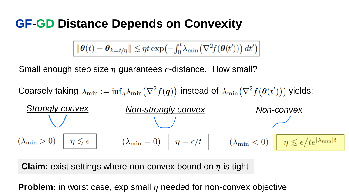#### **GF-GD Distance Depends on Convexity**

$$
\|\boldsymbol{\theta}(t) - \boldsymbol{\theta}_{k=t/\eta}\| \lesssim \eta t \exp\left(-\int_0^t \lambda_{\min}\left(\nabla^2 f(\boldsymbol{\theta}(t'))\right) dt'\right)
$$

Small enough step size  $\eta$  guarantees  $\epsilon$ -distance. How small?

Coarsely taking  $\lambda_{\min}:=\inf_q\lambda_{\min}\big(\nabla^2f(\bm{q})\big)$  instead of  $\lambda_{\min}\big(\nabla^2f\big(\bm{\theta}(t')\big)\big)$  yields:



**Claim:** exist settings where non-convex bound on  $\eta$  is tight

**Problem:** in worst case, exp small  $\eta$  needed for non-convex objective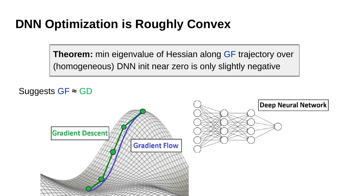#### **DNN Optimization is Roughly Convex**

**Theorem:** min eigenvalue of Hessian along GF trajectory over (homogeneous) DNN init near zero is only slightly negative

Suggests GF ≈ GD

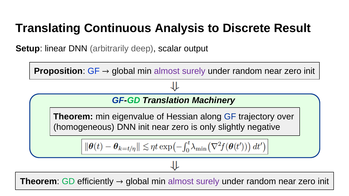### **Translating Continuous Analysis to Discrete Result**

**Setup:** linear DNN (arbitrarily deep), scalar output

**Proposition: GF → global min almost surely under random near zero init** *GF-GD Translation Machinery***Theorem:** min eigenvalue of Hessian along GF trajectory over (homogeneous) DNN init near zero is only slightly negative  $\|\boldsymbol{\theta}(t)-\boldsymbol{\theta}_{k=t/\eta}\| \leq \eta t \exp(-\int_0^t \lambda_{\min}(\nabla^2 f(\boldsymbol{\theta}(t'))) dt')$ **Theorem:** GD efficiently  $\rightarrow$  global min almost surely under random near zero init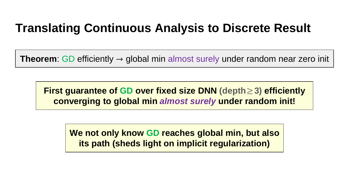#### **Translating Continuous Analysis to Discrete Result**

**Theorem:** GD efficiently  $\rightarrow$  global min almost surely under random near zero init

**First guarantee of GD over fixed size DNN (depth**≥**3) efficiently converging to global min** *almost surely* **under random init!**

**We not only know GD reaches global min, but also its path (sheds light on implicit regularization)**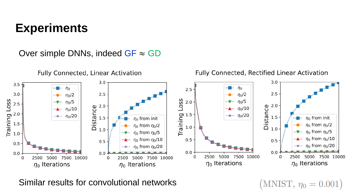#### **Experiments**

Over simple DNNs, indeed  $GF \approx GD$ 



Similar results for convolutional networks

 $(MNIST, \eta_0 = 0.001)$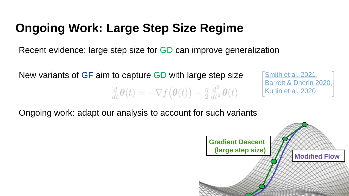## **Ongoing Work: Large Step Size Regime**

Recent evidence: large step size for GD can improve generalization

New variants of GF aim to capture GD with large step size

 $\frac{d}{dt}\theta(t) = -\nabla f(\theta(t)) - \frac{\eta}{2} \frac{d^2}{dt^2} \theta(t)$ 



Ongoing work: adapt our analysis to account for such variants

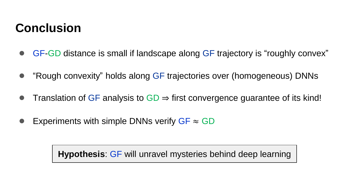#### **Conclusion**

- GF-GD distance is small if landscape along GF trajectory is "roughly convex"
- "Rough convexity" holds along GF trajectories over (homogeneous) DNNs
- $\bullet$  Translation of GF analysis to GD  $\Rightarrow$  first convergence quarantee of its kind!
- **•** Experiments with simple DNNs verify  $GF \approx GD$

**Hypothesis**: GF will unravel mysteries behind deep learning